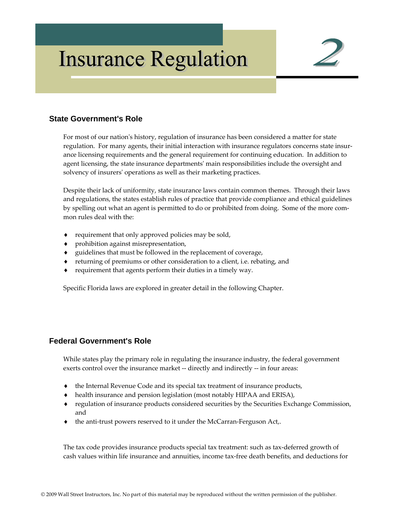# **Insurance Regulation**



## **State Government's Role**

For most of our nation's history, regulation of insurance has been considered a matter for state regulation. For many agents, their initial interaction with insurance regulators concerns state insurance licensing requirements and the general requirement for continuing education. In addition to agent licensing, the state insurance departmentsʹ main responsibilities include the oversight and solvency of insurers' operations as well as their marketing practices.

Despite their lack of uniformity, state insurance laws contain common themes. Through their laws and regulations, the states establish rules of practice that provide compliance and ethical guidelines by spelling out what an agent is permitted to do or prohibited from doing. Some of the more common rules deal with the:

- requirement that only approved policies may be sold,
- prohibition against misrepresentation,
- guidelines that must be followed in the replacement of coverage,
- returning of premiums or other consideration to a client, i.e. rebating, and
- requirement that agents perform their duties in a timely way.

Specific Florida laws are explored in greater detail in the following Chapter.

## **Federal Government's Role**

While states play the primary role in regulating the insurance industry, the federal government exerts control over the insurance market -- directly and indirectly -- in four areas:

- ♦ the Internal Revenue Code and its special tax treatment of insurance products,
- ♦ health insurance and pension legislation (most notably HIPAA and ERISA),
- ♦ regulation of insurance products considered securities by the Securities Exchange Commission, and
- the anti-trust powers reserved to it under the McCarran-Ferguson Act,.

The tax code provides insurance products special tax treatment: such as tax-deferred growth of cash values within life insurance and annuities, income tax‐free death benefits, and deductions for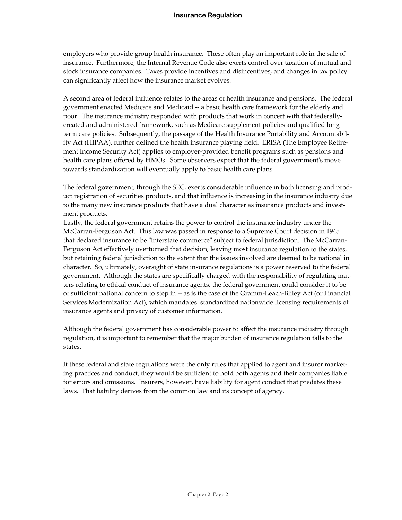employers who provide group health insurance. These often play an important role in the sale of insurance. Furthermore, the Internal Revenue Code also exerts control over taxation of mutual and stock insurance companies. Taxes provide incentives and disincentives, and changes in tax policy can significantly affect how the insurance market evolves.

A second area of federal influence relates to the areas of health insurance and pensions. The federal government enacted Medicare and Medicaid ‐‐ a basic health care framework for the elderly and poor. The insurance industry responded with products that work in concert with that federallycreated and administered framework, such as Medicare supplement policies and qualified long term care policies. Subsequently, the passage of the Health Insurance Portability and Accountabil‐ ity Act (HIPAA), further defined the health insurance playing field. ERISA (The Employee Retire‐ ment Income Security Act) applies to employer-provided benefit programs such as pensions and health care plans offered by HMOs. Some observers expect that the federal government's move towards standardization will eventually apply to basic health care plans.

The federal government, through the SEC, exerts considerable influence in both licensing and prod‐ uct registration of securities products, and that influence is increasing in the insurance industry due to the many new insurance products that have a dual character as insurance products and investment products.

Lastly, the federal government retains the power to control the insurance industry under the McCarran‐Ferguson Act. This law was passed in response to a Supreme Court decision in 1945 that declared insurance to be "interstate commerce" subject to federal jurisdiction. The McCarran-Ferguson Act effectively overturned that decision, leaving most insurance regulation to the states, but retaining federal jurisdiction to the extent that the issues involved are deemed to be national in character. So, ultimately, oversight of state insurance regulations is a power reserved to the federal government. Although the states are specifically charged with the responsibility of regulating mat‐ ters relating to ethical conduct of insurance agents, the federal government could consider it to be of sufficient national concern to step in ‐‐ as is the case of the Gramm‐Leach‐Bliley Act (or Financial Services Modernization Act), which mandates standardized nationwide licensing requirements of insurance agents and privacy of customer information.

Although the federal government has considerable power to affect the insurance industry through regulation, it is important to remember that the major burden of insurance regulation falls to the states.

If these federal and state regulations were the only rules that applied to agent and insurer market‐ ing practices and conduct, they would be sufficient to hold both agents and their companies liable for errors and omissions. Insurers, however, have liability for agent conduct that predates these laws. That liability derives from the common law and its concept of agency.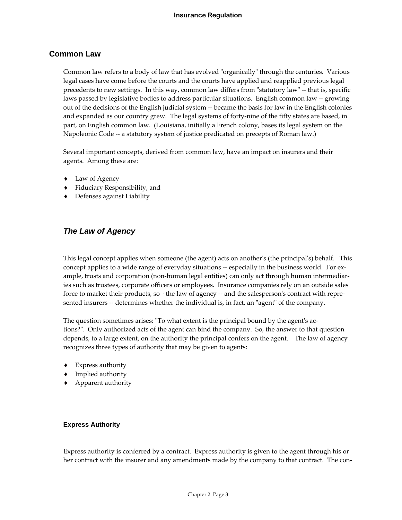## **Common Law**

Common law refers to a body of law that has evolved "organically" through the centuries. Various legal cases have come before the courts and the courts have applied and reapplied previous legal precedents to new settings. In this way, common law differs from "statutory law" -- that is, specific laws passed by legislative bodies to address particular situations. English common law ‐‐ growing out of the decisions of the English judicial system ‐‐ became the basis for law in the English colonies and expanded as our country grew. The legal systems of forty-nine of the fifty states are based, in part, on English common law. (Louisiana, initially a French colony, bases its legal system on the Napoleonic Code ‐‐ a statutory system of justice predicated on precepts of Roman law.)

Several important concepts, derived from common law, have an impact on insurers and their agents. Among these are:

- ♦ Law of Agency
- ♦ Fiduciary Responsibility, and
- ♦ Defenses against Liability

## *The Law of Agency*

This legal concept applies when someone (the agent) acts on another's (the principal's) behalf. This concept applies to a wide range of everyday situations -- especially in the business world. For example, trusts and corporation (non-human legal entities) can only act through human intermediaries such as trustees, corporate officers or employees. Insurance companies rely on an outside sales force to market their products, so the law of agency -- and the salesperson's contract with represented insurers -- determines whether the individual is, in fact, an "agent" of the company.

The question sometimes arises: "To what extent is the principal bound by the agent's actions?ʺ. Only authorized acts of the agent can bind the company. So, the answer to that question depends, to a large extent, on the authority the principal confers on the agent. The law of agency recognizes three types of authority that may be given to agents:

- ♦ Express authority
- ♦ Implied authority
- ♦ Apparent authority

#### **Express Authority**

Express authority is conferred by a contract. Express authority is given to the agent through his or her contract with the insurer and any amendments made by the company to that contract. The con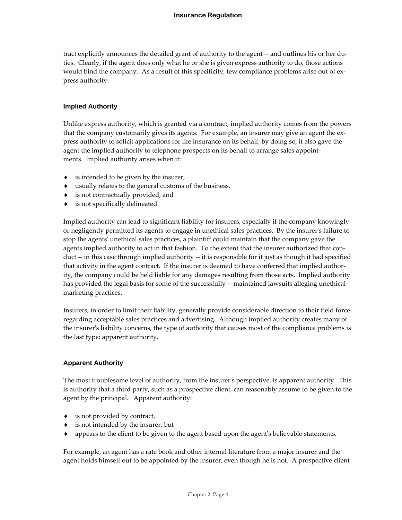tract explicitly announces the detailed grant of authority to the agent ‐‐ and outlines his or her du‐ ties. Clearly, if the agent does only what he or she is given express authority to do, those actions would bind the company. As a result of this specificity, few compliance problems arise out of express authority.

#### **Implied Authority**

Unlike express authority, which is granted via a contract, implied authority comes from the powers that the company customarily gives its agents. For example, an insurer may give an agent the ex‐ press authority to solicit applications for life insurance on its behalf; by doing so, it also gave the agent the implied authority to telephone prospects on its behalf to arrange sales appointments. Implied authority arises when it:

- ♦ is intended to be given by the insurer,
- ♦ usually relates to the general customs of the business,
- ♦ is not contractually provided, and
- ♦ is not specifically delineated.

Implied authority can lead to significant liability for insurers, especially if the company knowingly or negligently permitted its agents to engage in unethical sales practices. By the insurer's failure to stop the agentsʹ unethical sales practices, a plaintiff could maintain that the company gave the agents implied authority to act in that fashion. To the extent that the insurer authorized that conduct ‐‐ in this case through implied authority ‐‐ it is responsible for it just as though it had specified that activity in the agent contract. If the insurer is deemed to have conferred that implied author‐ ity, the company could be held liable for any damages resulting from those acts. Implied authority has provided the legal basis for some of the successfully -- maintained lawsuits alleging unethical marketing practices.

Insurers, in order to limit their liability, generally provide considerable direction to their field force regarding acceptable sales practices and advertising. Although implied authority creates many of the insurerʹs liability concerns, the type of authority that causes most of the compliance problems is the last type: apparent authority.

## **Apparent Authority**

The most troublesome level of authority, from the insurer's perspective, is apparent authority. This is authority that a third party, such as a prospective client, can reasonably assume to be given to the agent by the principal. Apparent authority:

- ♦ is not provided by contract,
- ♦ is not intended by the insurer, but
- appears to the client to be given to the agent based upon the agent's believable statements.

For example, an agent has a rate book and other internal literature from a major insurer and the agent holds himself out to be appointed by the insurer, even though he is not. A prospective client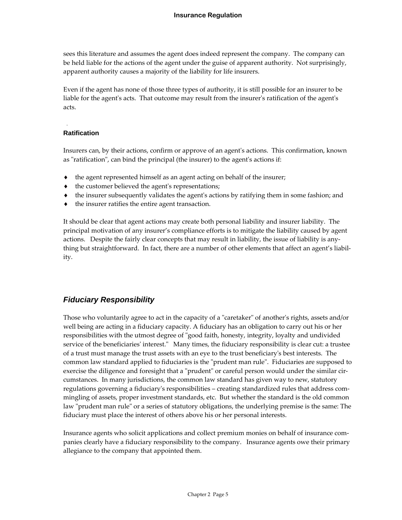sees this literature and assumes the agent does indeed represent the company. The company can be held liable for the actions of the agent under the guise of apparent authority. Not surprisingly, apparent authority causes a majority of the liability for life insurers.

Even if the agent has none of those three types of authority, it is still possible for an insurer to be liable for the agent's acts. That outcome may result from the insurer's ratification of the agent's acts.

#### **Ratification**

Insurers can, by their actions, confirm or approve of an agentʹs actions. This confirmation, known as "ratification", can bind the principal (the insurer) to the agent's actions if:

- the agent represented himself as an agent acting on behalf of the insurer;
- the customer believed the agent's representations;
- the insurer subsequently validates the agent's actions by ratifying them in some fashion; and
- ♦ the insurer ratifies the entire agent transaction.

It should be clear that agent actions may create both personal liability and insurer liability. The principal motivation of any insurer's compliance efforts is to mitigate the liability caused by agent actions. Despite the fairly clear concepts that may result in liability, the issue of liability is any‐ thing but straightforward. In fact, there are a number of other elements that affect an agent's liability.

## *Fiduciary Responsibility*

Those who voluntarily agree to act in the capacity of a "caretaker" of another's rights, assets and/or well being are acting in a fiduciary capacity. A fiduciary has an obligation to carry out his or her responsibilities with the utmost degree of "good faith, honesty, integrity, loyalty and undivided service of the beneficiaries' interest." Many times, the fiduciary responsibility is clear cut: a trustee of a trust must manage the trust assets with an eye to the trust beneficiaryʹs best interests. The common law standard applied to fiduciaries is the "prudent man rule". Fiduciaries are supposed to exercise the diligence and foresight that a "prudent" or careful person would under the similar circumstances. In many jurisdictions, the common law standard has given way to new, statutory regulations governing a fiduciary's responsibilities – creating standardized rules that address commingling of assets, proper investment standards, etc. But whether the standard is the old common law "prudent man rule" or a series of statutory obligations, the underlying premise is the same: The fiduciary must place the interest of others above his or her personal interests.

Insurance agents who solicit applications and collect premium monies on behalf of insurance com‐ panies clearly have a fiduciary responsibility to the company. Insurance agents owe their primary allegiance to the company that appointed them.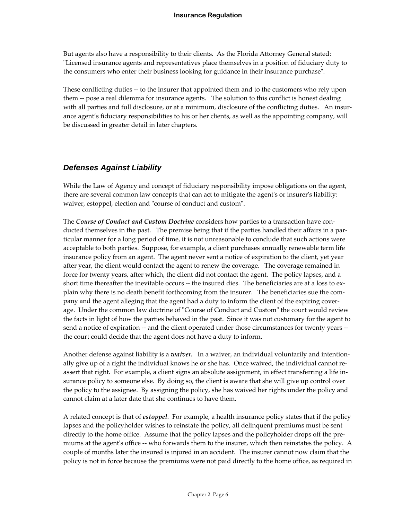But agents also have a responsibility to their clients. As the Florida Attorney General stated: ʺLicensed insurance agents and representatives place themselves in a position of fiduciary duty to the consumers who enter their business looking for guidance in their insurance purchase".

These conflicting duties ‐‐ to the insurer that appointed them and to the customers who rely upon them ‐‐ pose a real dilemma for insurance agents. The solution to this conflict is honest dealing with all parties and full disclosure, or at a minimum, disclosure of the conflicting duties. An insurance agent's fiduciary responsibilities to his or her clients, as well as the appointing company, will be discussed in greater detail in later chapters.

## *Defenses Against Liability*

While the Law of Agency and concept of fiduciary responsibility impose obligations on the agent, there are several common law concepts that can act to mitigate the agent's or insurer's liability: waiver, estoppel, election and "course of conduct and custom".

The *Course of Conduct and Custom Doctrine* considers how parties to a transaction have con‐ ducted themselves in the past. The premise being that if the parties handled their affairs in a particular manner for a long period of time, it is not unreasonable to conclude that such actions were acceptable to both parties. Suppose, for example, a client purchases annually renewable term life insurance policy from an agent. The agent never sent a notice of expiration to the client, yet year after year, the client would contact the agent to renew the coverage. The coverage remained in force for twenty years, after which, the client did not contact the agent. The policy lapses, and a short time thereafter the inevitable occurs -- the insured dies. The beneficiaries are at a loss to explain why there is no death benefit forthcoming from the insurer. The beneficiaries sue the company and the agent alleging that the agent had a duty to inform the client of the expiring coverage. Under the common law doctrine of "Course of Conduct and Custom" the court would review the facts in light of how the parties behaved in the past. Since it was not customary for the agent to send a notice of expiration -- and the client operated under those circumstances for twenty years -the court could decide that the agent does not have a duty to inform.

Another defense against liability is a *waiver*. In a waiver, an individual voluntarily and intentionally give up of a right the individual knows he or she has. Once waived, the individual cannot re‐ assert that right. For example, a client signs an absolute assignment, in effect transferring a life insurance policy to someone else. By doing so, the client is aware that she will give up control over the policy to the assignee. By assigning the policy, she has waived her rights under the policy and cannot claim at a later date that she continues to have them.

A related concept is that of *estoppel*. For example, a health insurance policy states that if the policy lapses and the policyholder wishes to reinstate the policy, all delinquent premiums must be sent directly to the home office. Assume that the policy lapses and the policyholder drops off the pre‐ miums at the agent's office -- who forwards them to the insurer, which then reinstates the policy. A couple of months later the insured is injured in an accident. The insurer cannot now claim that the policy is not in force because the premiums were not paid directly to the home office, as required in